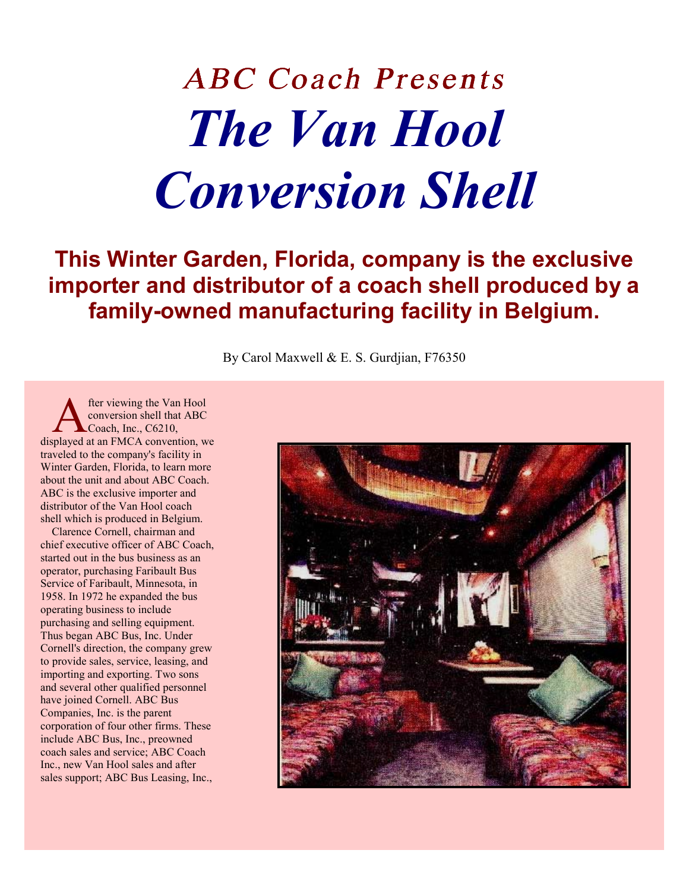# ABC Coach Presents *The Van Hool Conversion Shell*

## **This Winter Garden, Florida, company is the exclusive importer and distributor of a coach shell produced by a family-owned manufacturing facility in Belgium.**

By Carol Maxwell & E. S. Gurdjian, F76350

fter viewing the Van Hool conversion shell that ABC Coach, Inc., C6210, **A** fter viewing the Van Hool<br>
conversion shell that ABC<br>
displayed at an FMCA convention, we traveled to the company's facility in Winter Garden, Florida, to learn more about the unit and about ABC Coach. ABC is the exclusive importer and distributor of the Van Hool coach shell which is produced in Belgium.

Clarence Cornell, chairman and chief executive officer of ABC Coach, started out in the bus business as an operator, purchasing Faribault Bus Service of Faribault, Minnesota, in 1958. In 1972 he expanded the bus operating business to include purchasing and selling equipment. Thus began ABC Bus, Inc. Under Cornell's direction, the company grew to provide sales, service, leasing, and importing and exporting. Two sons and several other qualified personnel have joined Cornell. ABC Bus Companies, Inc. is the parent corporation of four other firms. These include ABC Bus, Inc., preowned coach sales and service; ABC Coach Inc., new Van Hool sales and after sales support; ABC Bus Leasing, Inc.,

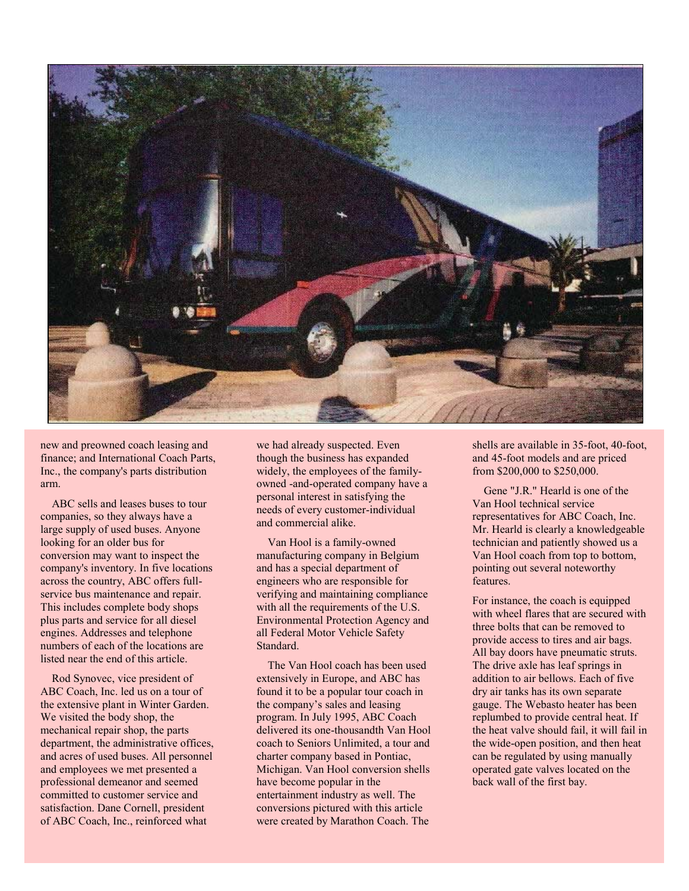

new and preowned coach leasing and finance; and International Coach Parts, Inc., the company's parts distribution arm.

ABC sells and leases buses to tour companies, so they always have a large supply of used buses. Anyone looking for an older bus for conversion may want to inspect the company's inventory. In five locations across the country, ABC offers fullservice bus maintenance and repair. This includes complete body shops plus parts and service for all diesel engines. Addresses and telephone numbers of each of the locations are listed near the end of this article.

Rod Synovec, vice president of ABC Coach, Inc. led us on a tour of the extensive plant in Winter Garden. We visited the body shop, the mechanical repair shop, the parts department, the administrative offices, and acres of used buses. All personnel and employees we met presented a professional demeanor and seemed committed to customer service and satisfaction. Dane Cornell, president of ABC Coach, Inc., reinforced what

we had already suspected. Even though the business has expanded widely, the employees of the familyowned -and-operated company have a personal interest in satisfying the needs of every customer-individual and commercial alike.

Van Hool is a family-owned manufacturing company in Belgium and has a special department of engineers who are responsible for verifying and maintaining compliance with all the requirements of the U.S. Environmental Protection Agency and all Federal Motor Vehicle Safety Standard.

The Van Hool coach has been used extensively in Europe, and ABC has found it to be a popular tour coach in the company's sales and leasing program. In July 1995, ABC Coach delivered its one-thousandth Van Hool coach to Seniors Unlimited, a tour and charter company based in Pontiac, Michigan. Van Hool conversion shells have become popular in the entertainment industry as well. The conversions pictured with this article were created by Marathon Coach. The

shells are available in 35-foot, 40-foot, and 45-foot models and are priced from \$200,000 to \$250,000.

Gene "J.R." Hearld is one of the Van Hool technical service representatives for ABC Coach, Inc. Mr. Hearld is clearly a knowledgeable technician and patiently showed us a Van Hool coach from top to bottom, pointing out several noteworthy features.

For instance, the coach is equipped with wheel flares that are secured with three bolts that can be removed to provide access to tires and air bags. All bay doors have pneumatic struts. The drive axle has leaf springs in addition to air bellows. Each of five dry air tanks has its own separate gauge. The Webasto heater has been replumbed to provide central heat. If the heat valve should fail, it will fail in the wide-open position, and then heat can be regulated by using manually operated gate valves located on the back wall of the first bay.